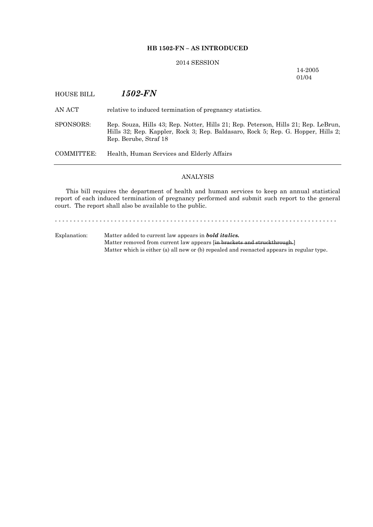### **HB 1502-FN – AS INTRODUCED**

## 2014 SESSION

14-2005 01/04

# HOUSE BILL *1502-FN* AN ACT relative to induced termination of pregnancy statistics. SPONSORS: Rep. Souza, Hills 43; Rep. Notter, Hills 21; Rep. Peterson, Hills 21; Rep. LeBrun, Hills 32; Rep. Kappler, Rock 3; Rep. Baldasaro, Rock 5; Rep. G. Hopper, Hills 2; Rep. Berube, Straf 18 COMMITTEE: Health, Human Services and Elderly Affairs

## ANALYSIS

This bill requires the department of health and human services to keep an annual statistical report of each induced termination of pregnancy performed and submit such report to the general court. The report shall also be available to the public.

- - - - - - - - - - - - - - - - - - - - - - - - - - - - - - - - - - - - - - - - - - - - - - - - - - - - - - - - - - - - - - - - - - - - - - - - - - - - Explanation: Matter added to current law appears in *bold italics.*

Matter removed from current law appears [in brackets and struckthrough.] Matter which is either (a) all new or (b) repealed and reenacted appears in regular type.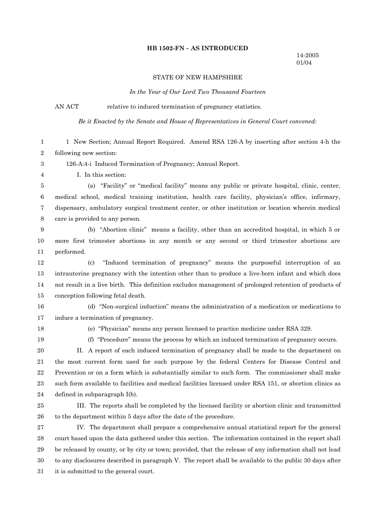### **HB 1502-FN – AS INTRODUCED**

## STATE OF NEW HAMPSHIRE

*In the Year of Our Lord Two Thousand Fourteen*

AN ACT relative to induced termination of pregnancy statistics.

*Be it Enacted by the Senate and House of Representatives in General Court convened:*

| 1                | 1 New Section; Annual Report Required. Amend RSA 126-A by inserting after section 4-h the               |  |  |  |  |
|------------------|---------------------------------------------------------------------------------------------------------|--|--|--|--|
| 2                | following new section:                                                                                  |  |  |  |  |
| 3                | 126-A:4-i Induced Termination of Pregnancy; Annual Report.                                              |  |  |  |  |
| 4                | I. In this section:                                                                                     |  |  |  |  |
| 5                | (a) "Facility" or "medical facility" means any public or private hospital, clinic, center,              |  |  |  |  |
| $\,6\,$          | medical school, medical training institution, health care facility, physician's office, infirmary,      |  |  |  |  |
| 7                | dispensary, ambulatory surgical treatment center, or other institution or location wherein medical      |  |  |  |  |
| 8                | care is provided to any person.                                                                         |  |  |  |  |
| $\boldsymbol{9}$ | (b) "Abortion clinic" means a facility, other than an accredited hospital, in which 5 or                |  |  |  |  |
| 10               | more first trimester abortions in any month or any second or third trimester abortions are              |  |  |  |  |
| 11               | performed.                                                                                              |  |  |  |  |
| 12               | "Induced termination of pregnancy" means the purposeful interruption of an<br>$\left( \text{c} \right)$ |  |  |  |  |
| 13               | intrauterine pregnancy with the intention other than to produce a live-born infant and which does       |  |  |  |  |
| 14               | not result in a live birth. This definition excludes management of prolonged retention of products of   |  |  |  |  |
| 15               | conception following fetal death.                                                                       |  |  |  |  |
| 16               | (d) "Non-surgical induction" means the administration of a medication or medications to                 |  |  |  |  |
| 17               | induce a termination of pregnancy.                                                                      |  |  |  |  |
| 18               | (e) "Physician" means any person licensed to practice medicine under RSA 329.                           |  |  |  |  |
| 19               | (f) "Procedure" means the process by which an induced termination of pregnancy occurs.                  |  |  |  |  |
| 20               | II. A report of each induced termination of pregnancy shall be made to the department on                |  |  |  |  |
| 21               | the most current form used for such purpose by the federal Centers for Disease Control and              |  |  |  |  |
| $22\,$           | Prevention or on a form which is substantially similar to such form. The commissioner shall make        |  |  |  |  |
| 23               | such form available to facilities and medical facilities licensed under RSA 151, or abortion clinics as |  |  |  |  |
| 24               | defined in subparagraph I(b).                                                                           |  |  |  |  |
| 25               | III. The reports shall be completed by the licensed facility or abortion clinic and transmitted         |  |  |  |  |
| ${\bf 26}$       | to the department within 5 days after the date of the procedure.                                        |  |  |  |  |
| 27               | IV. The department shall prepare a comprehensive annual statistical report for the general              |  |  |  |  |
| ${\bf 28}$       | court based upon the data gathered under this section. The information contained in the report shall    |  |  |  |  |
| 29               | be released by county, or by city or town; provided, that the release of any information shall not lead |  |  |  |  |
| 30               | to any disclosures described in paragraph V. The report shall be available to the public 30 days after  |  |  |  |  |
| 31               | it is submitted to the general court.                                                                   |  |  |  |  |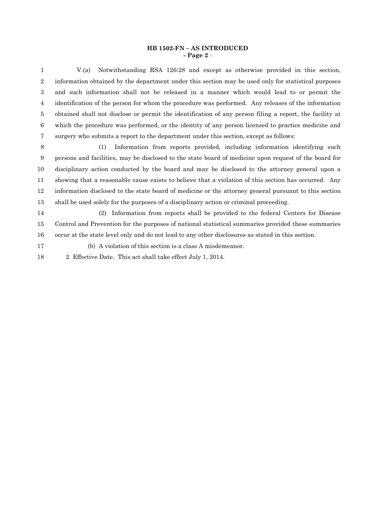#### **HB 1502-FN – AS INTRODUCED - Page 2** -

V.(a) Notwithstanding RSA 126:28 and except as otherwise provided in this section,1 2 information obtained by the department under this section may be used only for statistical purposes and such information shall not be released in a manner which would lead to or permit the3 identification of the person for whom the procedure was performed. Any releases of the information4 5 obtained shall not disclose or permit the identification of any person filing a report, the facility at which the procedure was performed, or the identity of any person licensed to practice medicine and6 surgery who submits a report to the department under this section, except as follows:7

(1) Information from reports provided, including information identifying such8 persons and facilities, may be disclosed to the state board of medicine upon request of the board for9 disciplinary action conducted by the board and may be disclosed to the attorney general upon a10 showing that a reasonable cause exists to believe that a violation of this section has occurred. Any11 information disclosed to the state board of medicine or the attorney general pursuant to this section12 shall be used solely for the purposes of a disciplinary action or criminal proceeding.13

(2) Information from reports shall be provided to the federal Centers for Disease14 15 Control and Prevention for the purposes of national statistical summaries provided these summaries occur at the state level only and do not lead to any other disclosures as stated in this section.16

(b) A violation of this section is a class A misdemeanor.17

18 2 Effective Date. This act shall take effect July 1, 2014.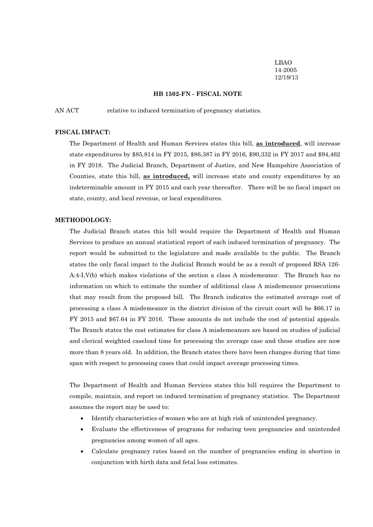LBAO 14-2005 12/19/13

#### **HB 1502-FN - FISCAL NOTE**

AN ACT relative to induced termination of pregnancy statistics.

#### **FISCAL IMPACT:**

The Department of Health and Human Services states this bill, **as introduced**, will increase state expenditures by \$85,814 in FY 2015, \$86,387 in FY 2016, \$90,332 in FY 2017 and \$94,462 in FY 2018. The Judicial Branch, Department of Justice, and New Hampshire Association of Counties, state this bill, **as introduced,** will increase state and county expenditures by an indeterminable amount in FY 2015 and each year thereafter. There will be no fiscal impact on state, county, and local revenue, or local expenditures.

#### **METHODOLOGY:**

The Judicial Branch states this bill would require the Department of Health and Human Services to produce an annual statistical report of each induced termination of pregnancy. The report would be submitted to the legislature and made available to the public. The Branch states the only fiscal impact to the Judicial Branch would be as a result of proposed RSA 126- A:4-I,V(b) which makes violations of the section a class A misdemeanor. The Branch has no information on which to estimate the number of additional class A misdemeanor prosecutions that may result from the proposed bill. The Branch indicates the estimated average cost of processing a class A misdemeanor in the district division of the circuit court will be \$66.17 in FY 2015 and \$67.64 in FY 2016. These amounts do not include the cost of potential appeals. The Branch states the cost estimates for class A misdemeanors are based on studies of judicial and clerical weighted caseload time for processing the average case and these studies are now more than 8 years old. In addition, the Branch states there have been changes during that time span with respect to processing cases that could impact average processing times.

The Department of Health and Human Services states this bill requires the Department to compile, maintain, and report on induced termination of pregnancy statistics. The Department assumes the report may be used to:

- Identify characteristics of women who are at high risk of unintended pregnancy.
- Evaluate the effectiveness of programs for reducing teen pregnancies and unintended pregnancies among women of all ages.
- Calculate pregnancy rates based on the number of pregnancies ending in abortion in conjunction with birth data and fetal loss estimates.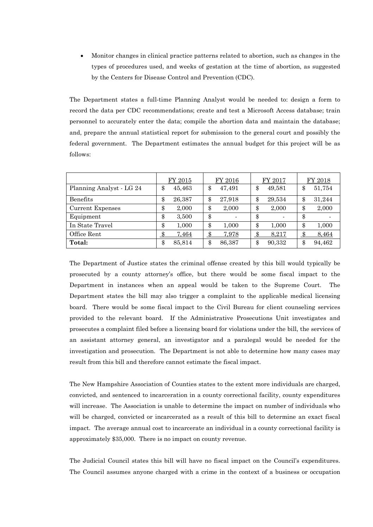Monitor changes in clinical practice patterns related to abortion, such as changes in the types of procedures used, and weeks of gestation at the time of abortion, as suggested by the Centers for Disease Control and Prevention (CDC).

The Department states a full-time Planning Analyst would be needed to: design a form to record the data per CDC recommendations; create and test a Microsoft Access database; train personnel to accurately enter the data; compile the abortion data and maintain the database; and, prepare the annual statistical report for submission to the general court and possibly the federal government. The Department estimates the annual budget for this project will be as follows:

|                          | FY 2015             | FY 2016          | FY 2017      | FY 2018      |
|--------------------------|---------------------|------------------|--------------|--------------|
| Planning Analyst - LG 24 | 45,463<br>\$        | 47,491<br>\$     | 49,581<br>\$ | 51,754<br>\$ |
| Benefits                 | \$<br>26,387        | 27,918<br>œ<br>D | \$<br>29,534 | 31,244<br>\$ |
| <b>Current Expenses</b>  | \$<br>2,000         | 2,000<br>\$      | \$<br>2,000  | 2,000<br>\$  |
| Equipment                | \$<br>3,500         | \$               | \$           | \$           |
| In State Travel          | 1,000<br>\$         | ው<br>1,000<br>Ð  | \$<br>1,000  | 1,000<br>\$  |
| Office Rent              | 7,464<br>$\pmb{\$}$ | 7,978            | 8,217<br>œ   | 8,464        |
| Total:                   | \$<br>85,814        | 86,387<br>\$     | 90,332<br>\$ | 94,462<br>\$ |

The Department of Justice states the criminal offense created by this bill would typically be prosecuted by a county attorney's office, but there would be some fiscal impact to the Department in instances when an appeal would be taken to the Supreme Court. The Department states the bill may also trigger a complaint to the applicable medical licensing board. There would be some fiscal impact to the Civil Bureau for client counseling services provided to the relevant board. If the Administrative Prosecutions Unit investigates and prosecutes a complaint filed before a licensing board for violations under the bill, the services of an assistant attorney general, an investigator and a paralegal would be needed for the investigation and prosecution. The Department is not able to determine how many cases may result from this bill and therefore cannot estimate the fiscal impact.

The New Hampshire Association of Counties states to the extent more individuals are charged, convicted, and sentenced to incarceration in a county correctional facility, county expenditures will increase. The Association is unable to determine the impact on number of individuals who will be charged, convicted or incarcerated as a result of this bill to determine an exact fiscal impact. The average annual cost to incarcerate an individual in a county correctional facility is approximately \$35,000. There is no impact on county revenue.

The Judicial Council states this bill will have no fiscal impact on the Council's expenditures. The Council assumes anyone charged with a crime in the context of a business or occupation